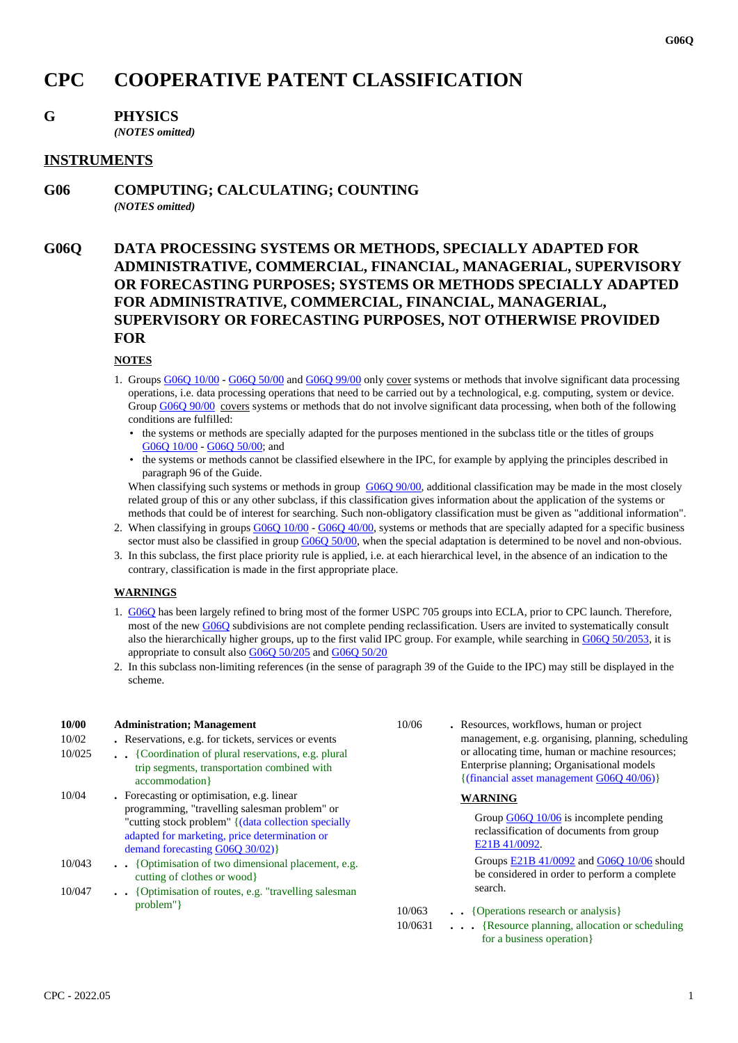# **CPC COOPERATIVE PATENT CLASSIFICATION**

# **G PHYSICS**

*(NOTES omitted)*

### **INSTRUMENTS**

**G06 COMPUTING; CALCULATING; COUNTING** *(NOTES omitted)*

# **G06Q DATA PROCESSING SYSTEMS OR METHODS, SPECIALLY ADAPTED FOR ADMINISTRATIVE, COMMERCIAL, FINANCIAL, MANAGERIAL, SUPERVISORY OR FORECASTING PURPOSES; SYSTEMS OR METHODS SPECIALLY ADAPTED FOR ADMINISTRATIVE, COMMERCIAL, FINANCIAL, MANAGERIAL, SUPERVISORY OR FORECASTING PURPOSES, NOT OTHERWISE PROVIDED FOR**

#### **NOTES**

- 1. Groups G06Q 10/00 G06Q 50/00 and G06Q 99/00 only cover systems or methods that involve significant data processing operations, i.e. data processing operations that need to be carried out by a technological, e.g. computing, system or device. Group G06Q 90/00 covers systems or methods that do not involve significant data processing, when both of the following conditions are fulfilled:
	- the systems or methods are specially adapted for the purposes mentioned in the subclass title or the titles of groups G06Q 10/00 - G06Q 50/00; and
	- the systems or methods cannot be classified elsewhere in the IPC, for example by applying the principles described in paragraph 96 of the Guide.

When classifying such systems or methods in group G06Q 90/00, additional classification may be made in the most closely related group of this or any other subclass, if this classification gives information about the application of the systems or methods that could be of interest for searching. Such non-obligatory classification must be given as "additional information".

- 2. When classifying in groups G06Q 10/00 G06Q 40/00, systems or methods that are specially adapted for a specific business sector must also be classified in group G06Q 50/00, when the special adaptation is determined to be novel and non-obvious.
- 3. In this subclass, the first place priority rule is applied, i.e. at each hierarchical level, in the absence of an indication to the contrary, classification is made in the first appropriate place.

#### **WARNINGS**

- 1. G06Q has been largely refined to bring most of the former USPC 705 groups into ECLA, prior to CPC launch. Therefore, most of the new G06Q subdivisions are not complete pending reclassification. Users are invited to systematically consult also the hierarchically higher groups, up to the first valid IPC group. For example, while searching in G06Q 50/2053, it is appropriate to consult also G06Q 50/205 and G06Q 50/20
- 2. In this subclass non-limiting references (in the sense of paragraph 39 of the Guide to the IPC) may still be displayed in the scheme.

| <b>10/00</b><br>10/02<br>10/025 | <b>Administration</b> ; Management<br>. Reservations, e.g. for tickets, services or events<br>. {Coordination of plural reservations, e.g. plural<br>trip segments, transportation combined with<br>accommodation }                      | 10/06             | • Resources, workflows, human or project<br>management, e.g. organising, planning, scheduling<br>or allocating time, human or machine resources;<br>Enterprise planning; Organisational models<br>{(financial asset management G06Q 40/06)} |
|---------------------------------|------------------------------------------------------------------------------------------------------------------------------------------------------------------------------------------------------------------------------------------|-------------------|---------------------------------------------------------------------------------------------------------------------------------------------------------------------------------------------------------------------------------------------|
| 10/04                           | • Forecasting or optimisation, e.g. linear<br>programming, "travelling salesman problem" or<br>"cutting stock problem" { (data collection specially<br>adapted for marketing, price determination or<br>demand forecasting G06Q 30/02) } |                   | <b>WARNING</b><br>Group $G06Q$ 10/06 is incomplete pending<br>reclassification of documents from group<br>E21B 41/0092.                                                                                                                     |
| 10/043<br>10/047                | {Optimisation of two dimensional placement, e.g.<br>cutting of clothes or wood<br>{Optimisation of routes, e.g. "travelling salesman"                                                                                                    |                   | Groups E21B 41/0092 and G06Q 10/06 should<br>be considered in order to perform a complete<br>search.                                                                                                                                        |
|                                 | problem"                                                                                                                                                                                                                                 | 10/063<br>10/0631 | • • {Operations research or analysis}<br>{Resource planning, allocation or scheduling<br>for a business operation }                                                                                                                         |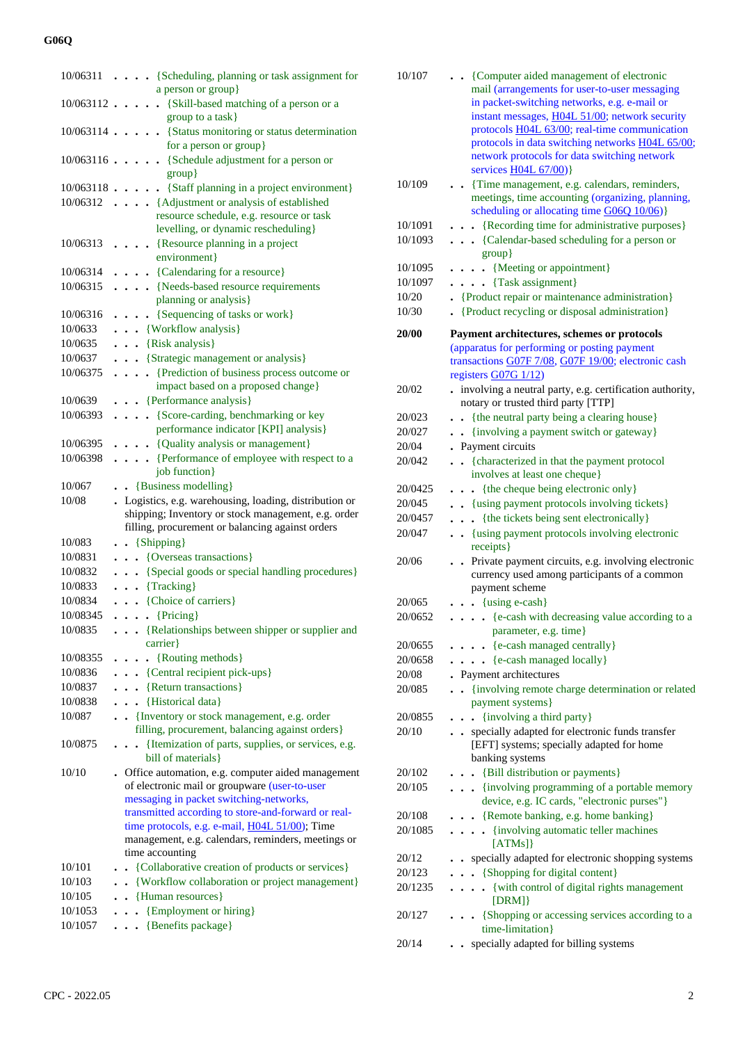| 10/06311           |           |           | {Scheduling, planning or task assignment for                                                            |  |
|--------------------|-----------|-----------|---------------------------------------------------------------------------------------------------------|--|
|                    |           |           | a person or group}                                                                                      |  |
|                    |           |           | 10/063112 {Skill-based matching of a person or a                                                        |  |
|                    |           |           | group to a task}                                                                                        |  |
|                    |           |           | 10/063114 {Status monitoring or status determination<br>for a person or group}                          |  |
|                    |           |           | 10/063116 {Schedule adjustment for a person or                                                          |  |
|                    |           |           | $group$ }                                                                                               |  |
|                    |           |           | 10/063118 {Staff planning in a project environment}                                                     |  |
|                    |           |           | 10/06312 {Adjustment or analysis of established                                                         |  |
|                    |           |           | resource schedule, e.g. resource or task                                                                |  |
|                    |           |           | levelling, or dynamic rescheduling}                                                                     |  |
| 10/06313           |           |           | • {Resource planning in a project                                                                       |  |
|                    |           |           | environment}                                                                                            |  |
| 10/06314           |           |           | . {Calendaring for a resource}                                                                          |  |
| 10/06315           |           |           | . {Needs-based resource requirements                                                                    |  |
| 10/06316           |           |           | planning or analysis}<br>. {Sequencing of tasks or work}                                                |  |
| 10/0633            |           |           | . {Workflow analysis}                                                                                   |  |
| 10/0635            |           |           | $\bullet$ $\bullet$ {Risk analysis}                                                                     |  |
| 10/0637            |           |           | . {Strategic management or analysis}                                                                    |  |
| 10/06375           |           |           | {Prediction of business process outcome or                                                              |  |
|                    |           |           | impact based on a proposed change}                                                                      |  |
| 10/0639            |           |           | {Performance analysis}                                                                                  |  |
| 10/06393           |           |           | . {Score-carding, benchmarking or key                                                                   |  |
|                    |           |           | performance indicator [KPI] analysis}                                                                   |  |
| 10/06395           |           |           | . {Quality analysis or management}                                                                      |  |
| 10/06398           |           |           | . {Performance of employee with respect to a                                                            |  |
|                    |           |           | job function}                                                                                           |  |
| 10/067             |           |           | $\bullet$ {Business modelling}                                                                          |  |
| 10/08              |           |           | . Logistics, e.g. warehousing, loading, distribution or                                                 |  |
|                    |           |           | shipping; Inventory or stock management, e.g. order<br>filling, procurement or balancing against orders |  |
| 10/083             |           |           | $\bullet$ {Shipping}                                                                                    |  |
| 10/0831            |           |           | {Overseas transactions}                                                                                 |  |
| 10/0832            |           |           | {Special goods or special handling procedures}                                                          |  |
| 10/0833            |           |           | $\cdots$ {Tracking}                                                                                     |  |
| 10/0834            |           |           | $\cdots$ {Choice of carriers}                                                                           |  |
| 10/08345           |           |           | $\ldots$ {Pricing}                                                                                      |  |
| 10/0835            |           |           | {Relationships between shipper or supplier and                                                          |  |
|                    |           |           | carrier}                                                                                                |  |
| 10/08355           |           |           | $\ldots$ {Routing methods}                                                                              |  |
| 10/0836            |           |           | $\cdots$ {Central recipient pick-ups}                                                                   |  |
| 10/0837<br>10/0838 |           |           | . . {Return transactions}<br>. Historical data}                                                         |  |
| 10/087             |           |           | • {Inventory or stock management, e.g. order                                                            |  |
|                    |           |           | filling, procurement, balancing against orders}                                                         |  |
| 10/0875            |           |           | . {Itemization of parts, supplies, or services, e.g.                                                    |  |
|                    |           |           | bill of materials }                                                                                     |  |
| 10/10              |           |           | • Office automation, e.g. computer aided management                                                     |  |
|                    |           |           | of electronic mail or groupware (user-to-user                                                           |  |
|                    |           |           | messaging in packet switching-networks,                                                                 |  |
|                    |           |           | transmitted according to store-and-forward or real-<br>time protocols, e.g. e-mail, H04L 51/00); Time   |  |
|                    |           |           | management, e.g. calendars, reminders, meetings or                                                      |  |
|                    |           |           | time accounting                                                                                         |  |
| 10/101             | $\bullet$ |           | {Collaborative creation of products or services}                                                        |  |
| 10/103             |           |           | . . {Workflow collaboration or project management}                                                      |  |
| 10/105             |           |           | . . {Human resources}                                                                                   |  |
| 10/1053            |           | $\ddotsc$ | {Employment or hiring}                                                                                  |  |
| 10/1057            |           |           | • {Benefits package}                                                                                    |  |
|                    |           |           |                                                                                                         |  |

| 10/107  | . . {Computer aided management of electronic                                                   |
|---------|------------------------------------------------------------------------------------------------|
|         | mail (arrangements for user-to-user messaging                                                  |
|         | in packet-switching networks, e.g. e-mail or                                                   |
|         | instant messages, H04L 51/00; network security                                                 |
|         | protocols H04L 63/00; real-time communication                                                  |
|         | protocols in data switching networks H04L 65/00;                                               |
|         | network protocols for data switching network<br>services $H04L 67/00$                          |
| 10/109  | . Time management, e.g. calendars, reminders,                                                  |
|         | meetings, time accounting (organizing, planning,                                               |
|         | scheduling or allocating time G06Q 10/06)}                                                     |
| 10/1091 | . {Recording time for administrative purposes}                                                 |
| 10/1093 | {Calendar-based scheduling for a person or<br>group}                                           |
| 10/1095 | $\ldots$ (Meeting or appointment)                                                              |
| 10/1097 | $\cdots$ (Task assignment)                                                                     |
| 10/20   | • {Product repair or maintenance administration}                                               |
| 10/30   | {Product recycling or disposal administration}                                                 |
| 20/00   | Payment architectures, schemes or protocols                                                    |
|         | (apparatus for performing or posting payment                                                   |
|         | transactions G07F 7/08, G07F 19/00; electronic cash                                            |
|         | registers G07G 1/12)                                                                           |
| 20/02   | . involving a neutral party, e.g. certification authority,                                     |
|         | notary or trusted third party [TTP]                                                            |
| 20/023  | • {the neutral party being a clearing house}                                                   |
| 20/027  | • {involving a payment switch or gateway}                                                      |
| 20/04   | . Payment circuits                                                                             |
| 20/042  | • {characterized in that the payment protocol                                                  |
|         | involves at least one cheque}                                                                  |
| 20/0425 | {the cheque being electronic only}<br>$\ddot{\phantom{0}}$                                     |
| 20/045  | . {using payment protocols involving tickets}                                                  |
| 20/0457 | {the tickets being sent electronically}<br>$\ddot{\phantom{0}}$                                |
| 20/047  | . {using payment protocols involving electronic<br>receipts}                                   |
| 20/06   | . Private payment circuits, e.g. involving electronic                                          |
|         | currency used among participants of a common                                                   |
|         | payment scheme                                                                                 |
| 20/065  | $\bullet \bullet$ {using e-cash}                                                               |
| 20/0652 | {e-cash with decreasing value according to a<br>parameter, e.g. time}                          |
| 20/0655 | {e-cash managed centrally}<br>$\cdots$                                                         |
| 20/0658 | {e-cash managed locally}<br>$\cdot \cdot \cdot$                                                |
| 20/08   | . Payment architectures                                                                        |
| 20/085  | {involving remote charge determination or related<br>$\ddot{\phantom{a}}$<br>payment systems } |
| 20/0855 | {involving a third party}<br>$\ddot{\phantom{0}}$                                              |
| 20/10   | specially adapted for electronic funds transfer                                                |
|         | [EFT] systems; specially adapted for home                                                      |
|         | banking systems                                                                                |
| 20/102  | {Bill distribution or payments}<br>$\ddot{\phantom{a}}$                                        |
| 20/105  | . {involving programming of a portable memory                                                  |
|         | device, e.g. IC cards, "electronic purses"}                                                    |
| 20/108  | {Remote banking, e.g. home banking}<br>$\ddot{\bullet}$                                        |
| 20/1085 | {involving automatic teller machines<br>$\ddots$<br>[ATMs]                                     |
| 20/12   | • specially adapted for electronic shopping systems                                            |
| 20/123  | . . {Shopping for digital content}                                                             |
| 20/1235 | {with control of digital rights management<br>[DRM]                                            |
| 20/127  | {Shopping or accessing services according to a<br>time-limitation}                             |
| 20/14   | specially adapted for billing systems                                                          |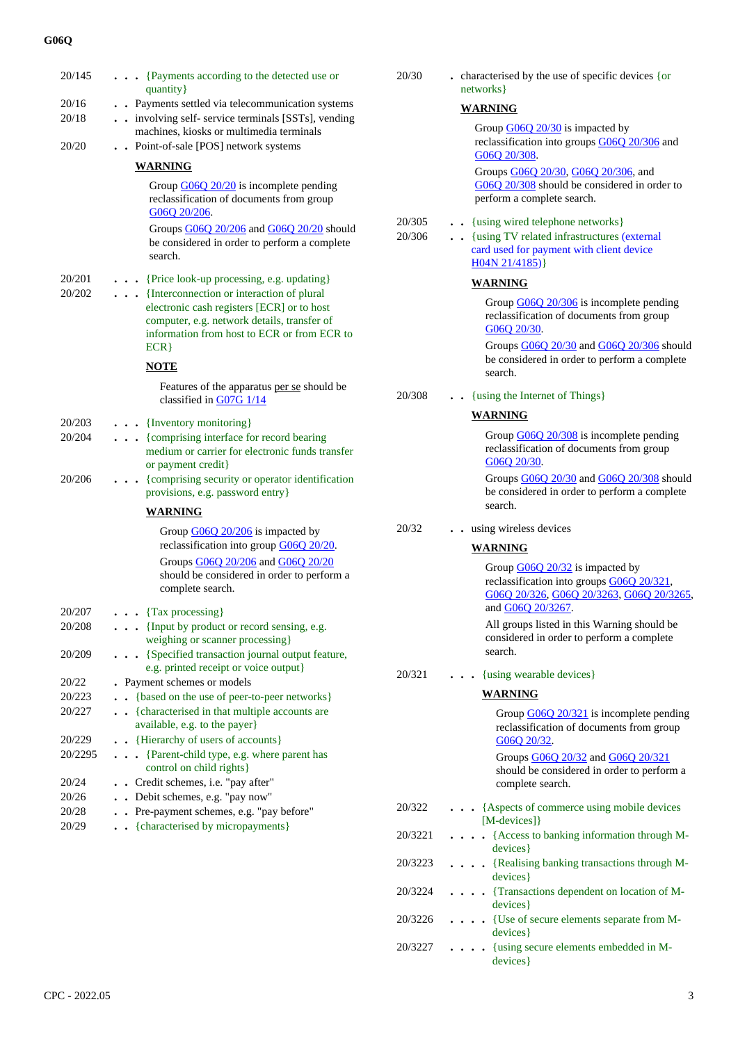| 20/145            | {Payments according to the detected use or<br>quantity }                                                                                                                              | 20/30            | . characterised by the use of specific devices {or<br>networks }                                                                                   |
|-------------------|---------------------------------------------------------------------------------------------------------------------------------------------------------------------------------------|------------------|----------------------------------------------------------------------------------------------------------------------------------------------------|
| 20/16             | . . Payments settled via telecommunication systems                                                                                                                                    |                  | <b>WARNING</b>                                                                                                                                     |
| 20/18             | . . involving self- service terminals [SSTs], vending                                                                                                                                 |                  | Group $\underline{G06Q}$ 20/30 is impacted by                                                                                                      |
| 20/20             | machines, kiosks or multimedia terminals<br>. . Point-of-sale [POS] network systems                                                                                                   |                  | reclassification into groups G06Q 20/306 and<br>G06Q 20/308.                                                                                       |
|                   | <b>WARNING</b>                                                                                                                                                                        |                  | Groups G06Q 20/30, G06Q 20/306, and                                                                                                                |
|                   | Group $\underline{G06Q}$ 20/20 is incomplete pending<br>reclassification of documents from group<br>G06Q 20/206.                                                                      |                  | G06Q 20/308 should be considered in order to<br>perform a complete search.                                                                         |
|                   | Groups G06Q 20/206 and G06Q 20/20 should<br>be considered in order to perform a complete<br>search.                                                                                   | 20/305<br>20/306 | . . {using wired telephone networks}<br>. {using TV related infrastructures (external<br>card used for payment with client device<br>H04N 21/4185) |
| 20/201            | {Price look-up processing, e.g. updating}                                                                                                                                             |                  | <b>WARNING</b>                                                                                                                                     |
| 20/202            | {Interconnection or interaction of plural<br>electronic cash registers [ECR] or to host<br>computer, e.g. network details, transfer of<br>information from host to ECR or from ECR to |                  | Group $\underline{G06Q}$ 20/306 is incomplete pending<br>reclassification of documents from group<br>G06Q 20/30.                                   |
|                   | ECR                                                                                                                                                                                   |                  | Groups G06Q 20/30 and G06Q 20/306 should<br>be considered in order to perform a complete                                                           |
|                   | <b>NOTE</b>                                                                                                                                                                           |                  | search.                                                                                                                                            |
|                   | Features of the apparatus per se should be<br>classified in G07G 1/14                                                                                                                 | 20/308           | {using the Internet of Things}                                                                                                                     |
| 20/203            | {Inventory monitoring}                                                                                                                                                                |                  | <b>WARNING</b>                                                                                                                                     |
| 20/204            | {comprising interface for record bearing<br>medium or carrier for electronic funds transfer                                                                                           |                  | Group $\underline{G06Q}$ 20/308 is incomplete pending<br>reclassification of documents from group<br>G06Q 20/30.                                   |
| 20/206            | or payment credit}<br>{comprising security or operator identification<br>.<br>provisions, e.g. password entry}                                                                        |                  | Groups G06Q 20/30 and G06Q 20/308 should<br>be considered in order to perform a complete                                                           |
|                   | <b>WARNING</b>                                                                                                                                                                        |                  | search.                                                                                                                                            |
|                   | Group G06Q 20/206 is impacted by                                                                                                                                                      | 20/32            | . . using wireless devices                                                                                                                         |
|                   | reclassification into group G06Q 20/20.                                                                                                                                               |                  | <b>WARNING</b>                                                                                                                                     |
|                   | Groups G06Q 20/206 and G06Q 20/20<br>should be considered in order to perform a<br>complete search.                                                                                   |                  | Group G06Q 20/32 is impacted by<br>reclassification into groups G06Q 20/321,<br>G06Q 20/326, G06Q 20/3263, G06Q 20/3265                            |
| 20/207            | $\cdots$ {Tax processing}                                                                                                                                                             |                  | and G06Q 20/3267.                                                                                                                                  |
| 20/208<br>20/209  | {Input by product or record sensing, e.g.<br>weighing or scanner processing}<br>{Specified transaction journal output feature,                                                        |                  | All groups listed in this Warning should be<br>considered in order to perform a complete<br>search.                                                |
|                   | e.g. printed receipt or voice output}                                                                                                                                                 | 20/321           | {using wearable devices}                                                                                                                           |
| 20/22             | • Payment schemes or models                                                                                                                                                           |                  |                                                                                                                                                    |
| 20/223<br>20/227  | {based on the use of peer-to-peer networks}<br>. {characterised in that multiple accounts are                                                                                         |                  | <b>WARNING</b><br>Group G06Q 20/321 is incomplete pending                                                                                          |
|                   | available, e.g. to the payer}<br>• • {Hierarchy of users of accounts}                                                                                                                 |                  | reclassification of documents from group                                                                                                           |
| 20/229<br>20/2295 | . {Parent-child type, e.g. where parent has<br>control on child rights}                                                                                                               |                  | G06Q 20/32.<br>Groups G06Q 20/32 and G06Q 20/321                                                                                                   |
| 20/24             | . . Credit schemes, i.e. "pay after"                                                                                                                                                  |                  | should be considered in order to perform a<br>complete search.                                                                                     |
| 20/26             | . . Debit schemes, e.g. "pay now"                                                                                                                                                     |                  |                                                                                                                                                    |
| 20/28             | . Pre-payment schemes, e.g. "pay before"                                                                                                                                              | 20/322           | . {Aspects of commerce using mobile devices                                                                                                        |
| 20/29             | . {characterised by micropayments}                                                                                                                                                    | 20/3221          | $[M\text{-}devices]$<br>. {Access to banking information through M-                                                                                |
|                   |                                                                                                                                                                                       | 20/3223          | devices}<br>{Realising banking transactions through M-<br>.                                                                                        |
|                   |                                                                                                                                                                                       | 20/3224          | devices }<br>. {Transactions dependent on location of M-<br>devices}                                                                               |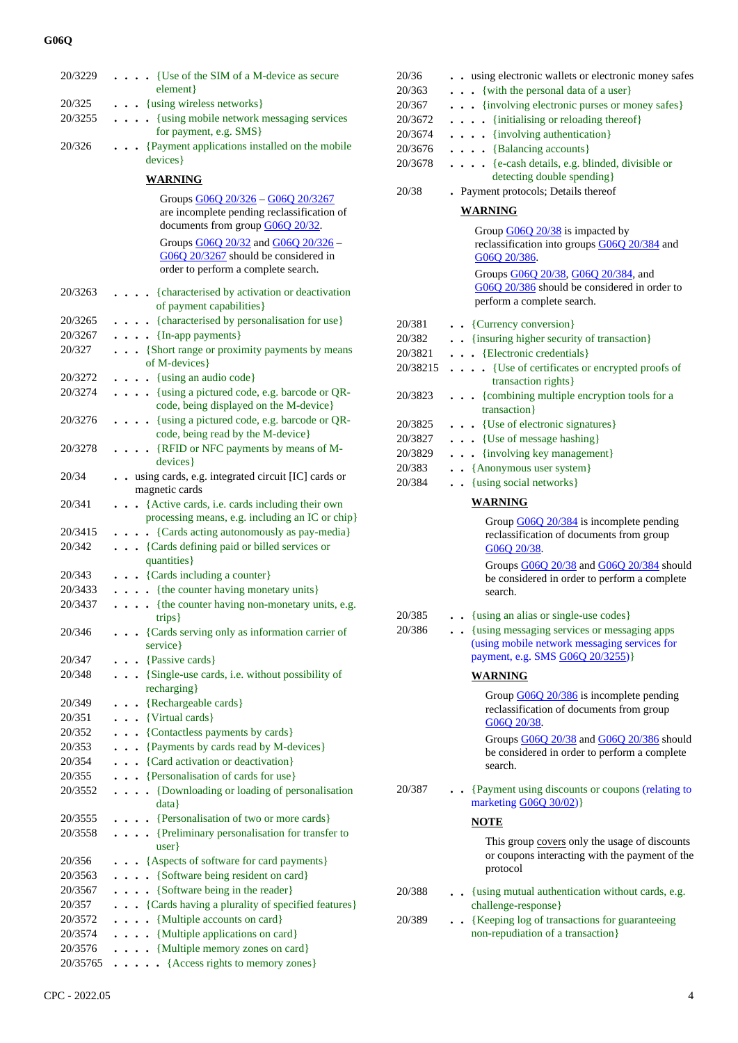| 20/3229          | {Use of the SIM of a M-device as secure                                                                |
|------------------|--------------------------------------------------------------------------------------------------------|
|                  | element}                                                                                               |
| 20/325           | . {using wireless networks}                                                                            |
| 20/3255          | • {using mobile network messaging services                                                             |
|                  | for payment, e.g. SMS }                                                                                |
| 20/326           | • {Payment applications installed on the mobile                                                        |
|                  | devices}                                                                                               |
|                  | <b>WARNING</b>                                                                                         |
|                  | Groups G06Q 20/326 - G06Q 20/3267                                                                      |
|                  | are incomplete pending reclassification of                                                             |
|                  | documents from group G06Q 20/32.                                                                       |
|                  | Groups G06Q 20/32 and G06Q 20/326 -                                                                    |
|                  | G06Q 20/3267 should be considered in                                                                   |
|                  | order to perform a complete search.                                                                    |
| 20/3263          | {characterised by activation or deactivation                                                           |
|                  | $\cdots$<br>of payment capabilities}                                                                   |
| 20/3265          | . {characterised by personalisation for use}                                                           |
| 20/3267          | $\bullet$ $\bullet$ {In-app payments}                                                                  |
| 20/327           | . . {Short range or proximity payments by means                                                        |
|                  | of M-devices}                                                                                          |
| 20/3272          | $\ldots$ (using an audio code)                                                                         |
| 20/3274          | . {using a pictured code, e.g. barcode or QR-                                                          |
|                  | code, being displayed on the M-device}                                                                 |
| 20/3276          | {using a pictured code, e.g. barcode or QR-<br>.                                                       |
|                  | code, being read by the M-device}                                                                      |
| 20/3278          | . {RFID or NFC payments by means of M-                                                                 |
|                  | devices}                                                                                               |
| 20/34            | . . using cards, e.g. integrated circuit [IC] cards or                                                 |
|                  | magnetic cards                                                                                         |
| 20/341           | . {Active cards, i.e. cards including their own                                                        |
| 20/3415          | processing means, e.g. including an IC or chip}<br>{Cards acting autonomously as pay-media}            |
| 20/342           | $\ddot{\phantom{0}}$<br>{Cards defining paid or billed services or                                     |
|                  | quantities}                                                                                            |
| 20/343           | {Cards including a counter}                                                                            |
| 20/3433          | {the counter having monetary units}                                                                    |
| 20/3437          | {the counter having non-monetary units, e.g.                                                           |
|                  | trips}                                                                                                 |
| 20/346           | {Cards serving only as information carrier of                                                          |
|                  | service}                                                                                               |
| 20/347           | $\bullet$ {Passive cards}                                                                              |
| 20/348           | {Single-use cards, i.e. without possibility of                                                         |
|                  | recharging}                                                                                            |
| 20/349           | • {Rechargeable cards}                                                                                 |
| 20/351           | . . {Virtual cards}                                                                                    |
| 20/352           | {Contactless payments by cards}<br>$\ddot{\phantom{0}}$                                                |
| 20/353           | {Payments by cards read by M-devices}<br>$\ddot{\phantom{0}}$                                          |
| 20/354<br>20/355 | {Card activation or deactivation}<br>$\ddot{\phantom{0}}$<br>{Personalisation of cards for use}        |
| 20/3552          | $\ddot{\phantom{0}}$                                                                                   |
|                  | {Downloading or loading of personalisation<br>$\ddot{\phantom{0}}$<br>$\ddot{\phantom{0}}$<br>$data\}$ |
| 20/3555          | . Personalisation of two or more cards }                                                               |
| 20/3558          | {Preliminary personalisation for transfer to                                                           |
|                  | user                                                                                                   |
| 20/356           | • • {Aspects of software for card payments}                                                            |
| 20/3563          | . {Software being resident on card}                                                                    |
| 20/3567          | {Software being in the reader}                                                                         |
| 20/357           | . {Cards having a plurality of specified features}                                                     |
| 20/3572          | . {Multiple accounts on card}                                                                          |
| 20/3574          | $\ldots$ (Multiple applications on card)                                                               |
| 20/3576          | {Multiple memory zones on card}<br>.                                                                   |
| 20/35765         | $\ldots$ . {Access rights to memory zones}                                                             |

| 20/36<br>20/363<br>20/367<br>20/3672<br>20/3674<br>20/3676<br>20/3678<br>20/38 | . . using electronic wallets or electronic money safes<br>. {with the personal data of a user}<br>{involving electronic purses or money safes}<br>. {initialising or reloading thereof}<br>. {involving authentication}<br>$\cdots$ {Balancing accounts}<br>[e-cash details, e.g. blinded, divisible or<br>detecting double spending}<br>. Payment protocols; Details thereof<br>WARNING<br>Group G06Q 20/38 is impacted by |
|--------------------------------------------------------------------------------|-----------------------------------------------------------------------------------------------------------------------------------------------------------------------------------------------------------------------------------------------------------------------------------------------------------------------------------------------------------------------------------------------------------------------------|
|                                                                                | reclassification into groups G06Q 20/384 and<br>G06Q 20/386.<br>Groups G06Q 20/38, G06Q 20/384, and<br>G06Q 20/386 should be considered in order to<br>perform a complete search.                                                                                                                                                                                                                                           |
| 20/381<br>20/382<br>20/3821<br>20/38215                                        | . . {Currency conversion}<br>. {insuring higher security of transaction}<br>. {Electronic credentials}<br>{Use of certificates or encrypted proofs of                                                                                                                                                                                                                                                                       |
| 20/3823                                                                        | transaction rights}<br>. {combining multiple encryption tools for a                                                                                                                                                                                                                                                                                                                                                         |
| 20/3825<br>20/3827<br>20/3829<br>20/383<br>20/384                              | transaction }<br>. {Use of electronic signatures}<br>$\cdots$ {Use of message hashing}<br>. {involving key management}<br>• · {Anonymous user system}<br>. {using social networks}                                                                                                                                                                                                                                          |
|                                                                                | <b>WARNING</b><br>Group G06Q 20/384 is incomplete pending<br>reclassification of documents from group<br>G06O 20/38.<br>Groups G06Q 20/38 and G06Q 20/384 should<br>be considered in order to perform a complete<br>search.                                                                                                                                                                                                 |
| 20/385<br>20/386                                                               | . { using an alias or single-use codes }<br>{using messaging services or messaging apps<br>(using mobile network messaging services for<br>payment, e.g. SMS G06Q 20/3255)}<br><b>WARNING</b><br>Group G06Q 20/386 is incomplete pending<br>reclassification of documents from group<br>G06Q 20/38.<br>Groups G06Q 20/38 and G06Q 20/386 should<br>be considered in order to perform a complete<br>search.                  |
| 20/387                                                                         | • {Payment using discounts or coupons (relating to<br>marketing G06Q 30/02)}<br>NOTE<br>This group covers only the usage of discounts<br>or coupons interacting with the payment of the<br>protocol                                                                                                                                                                                                                         |
| 20/388                                                                         | • {using mutual authentication without cards, e.g.<br>challenge-response}                                                                                                                                                                                                                                                                                                                                                   |
| 20/389                                                                         | . . {Keeping log of transactions for guaranteeing<br>non-repudiation of a transaction}                                                                                                                                                                                                                                                                                                                                      |
|                                                                                |                                                                                                                                                                                                                                                                                                                                                                                                                             |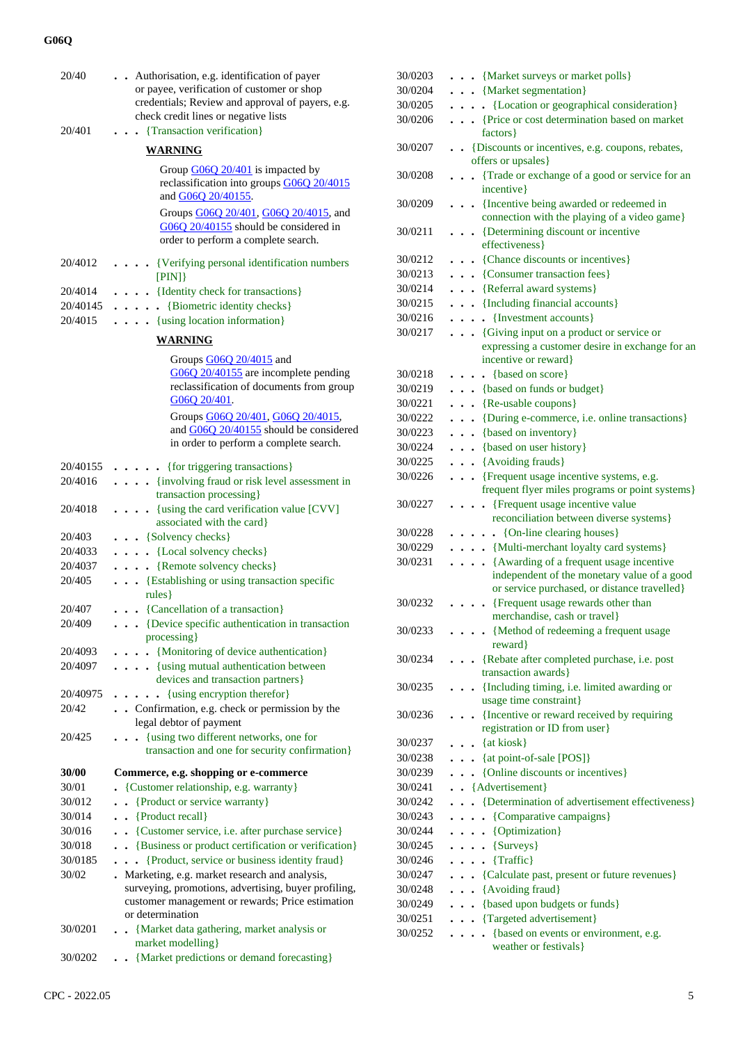| 20/40<br>20/401 | Authorisation, e.g. identification of payer<br>or payee, verification of customer or shop<br>credentials; Review and approval of payers, e.g.<br>check credit lines or negative lists<br>. Transaction verification } |
|-----------------|-----------------------------------------------------------------------------------------------------------------------------------------------------------------------------------------------------------------------|
|                 |                                                                                                                                                                                                                       |
|                 | <b>WARNING</b>                                                                                                                                                                                                        |
|                 | Group $\underline{G06Q}$ 20/401 is impacted by<br>reclassification into groups G06Q 20/4015<br>and G06Q 20/40155.                                                                                                     |
|                 | Groups G06Q 20/401, G06Q 20/4015, and<br>G06Q 20/40155 should be considered in<br>order to perform a complete search.                                                                                                 |
| 20/4012         | [Verifying personal identification numbers<br>[PIN]                                                                                                                                                                   |
| 20/4014         | . {Identity check for transactions}                                                                                                                                                                                   |
| 20/40145        | $\ldots$ . [Biometric identity checks]                                                                                                                                                                                |
| 20/4015         | $\ldots$ (using location information)                                                                                                                                                                                 |
|                 | WARNING                                                                                                                                                                                                               |
|                 | Groups $G06Q$ 20/4015 and                                                                                                                                                                                             |
|                 | G06Q 20/40155 are incomplete pending<br>reclassification of documents from group<br>G06O 20/401.                                                                                                                      |
|                 | Groups G06Q 20/401, G06Q 20/4015,<br>and G06Q 20/40155 should be considered<br>in order to perform a complete search.                                                                                                 |
| 20/40155        | $\ldots$ . {for triggering transactions}                                                                                                                                                                              |
| 20/4016         | . {involving fraud or risk level assessment in                                                                                                                                                                        |
|                 | transaction processing}                                                                                                                                                                                               |
| 20/4018         | . {using the card verification value [CVV]<br>associated with the card}                                                                                                                                               |
| 20/403          | {Solvency checks}                                                                                                                                                                                                     |
| 20/4033         | . {Local solvency checks}                                                                                                                                                                                             |
| 20/4037         | $\ldots$ {Remote solvency checks}                                                                                                                                                                                     |
| 20/405          | {Establishing or using transaction specific<br>$rules$ }                                                                                                                                                              |
| 20/407          | $\ldots$ {Cancellation of a transaction}                                                                                                                                                                              |
| 20/409          | • • {Device specific authentication in transaction<br>processing }                                                                                                                                                    |
| 20/4093         | . {Monitoring of device authentication}                                                                                                                                                                               |
| 20/4097         | . {using mutual authentication between                                                                                                                                                                                |
|                 | devices and transaction partners}                                                                                                                                                                                     |
| 20/40975        | {using encryption therefor}<br>$\ddot{\phantom{a}}$                                                                                                                                                                   |
| 20/42           | . Confirmation, e.g. check or permission by the                                                                                                                                                                       |
|                 | legal debtor of payment                                                                                                                                                                                               |
| 20/425          | {using two different networks, one for<br>transaction and one for security confirmation}                                                                                                                              |
| 30/00           | Commerce, e.g. shopping or e-commerce                                                                                                                                                                                 |
| 30/01           | {Customer relationship, e.g. warranty}                                                                                                                                                                                |
| 30/012          | {Product or service warranty}<br>$\ddot{\phantom{0}}$                                                                                                                                                                 |
| 30/014          | $\bullet$ {Product recall}                                                                                                                                                                                            |
| 30/016          | {Customer service, i.e. after purchase service}                                                                                                                                                                       |
| 30/018          | . . {Business or product certification or verification}                                                                                                                                                               |
| 30/0185         | {Product, service or business identity fraud}                                                                                                                                                                         |
| 30/02           | . Marketing, e.g. market research and analysis,<br>surveying, promotions, advertising, buyer profiling,<br>customer management or rewards; Price estimation<br>or determination                                       |
| 30/0201         | . . {Market data gathering, market analysis or<br>market modelling}                                                                                                                                                   |
| 30/0202         | . . {Market predictions or demand forecasting}                                                                                                                                                                        |

| 30/0203 | . {Market surveys or market polls}                                                                                                     |
|---------|----------------------------------------------------------------------------------------------------------------------------------------|
| 30/0204 | . {Market segmentation}                                                                                                                |
| 30/0205 | {Location or geographical consideration}                                                                                               |
| 30/0206 | . {Price or cost determination based on market<br>factors }                                                                            |
| 30/0207 | {Discounts or incentives, e.g. coupons, rebates,<br>$\ddotsc$<br>offers or upsales}                                                    |
| 30/0208 | {Trade or exchange of a good or service for an<br>$\ddot{\phantom{a}}$<br>incentive}                                                   |
| 30/0209 | {Incentive being awarded or redeemed in<br>connection with the playing of a video game}                                                |
| 30/0211 | • {Determining discount or incentive<br>effectiveness}                                                                                 |
| 30/0212 | {Chance discounts or incentives}                                                                                                       |
| 30/0213 | $\ddot{\phantom{0}}$<br>{Consumer transaction fees}                                                                                    |
| 30/0214 | $\ddot{\phantom{0}}$<br>{Referral award systems}                                                                                       |
| 30/0215 | $\ddot{\phantom{0}}$                                                                                                                   |
| 30/0216 | . {Including financial accounts}                                                                                                       |
|         | {Investment accounts}<br>$\ddot{\phantom{0}}$<br>.                                                                                     |
| 30/0217 | {Giving input on a product or service or<br>.<br>expressing a customer desire in exchange for an<br>incentive or reward}               |
| 30/0218 |                                                                                                                                        |
| 30/0219 | $\ldots$ {based on score}<br>. {based on funds or budget}                                                                              |
|         | $\cdots$ {Re-usable coupons}                                                                                                           |
| 30/0221 |                                                                                                                                        |
| 30/0222 | {During e-commerce, i.e. online transactions}                                                                                          |
| 30/0223 | . {based on inventory}                                                                                                                 |
| 30/0224 | . {based on user history}                                                                                                              |
| 30/0225 | $\cdots$ {Avoiding frauds}                                                                                                             |
| 30/0226 | {Frequent usage incentive systems, e.g.<br>frequent flyer miles programs or point systems}                                             |
| 30/0227 | {Frequent usage incentive value<br>$\ddots$                                                                                            |
|         | reconciliation between diverse systems}                                                                                                |
| 30/0228 | $\bullet$ $\bullet$ {On-line clearing houses}                                                                                          |
| 30/0229 | {Multi-merchant loyalty card systems}                                                                                                  |
| 30/0231 | {Awarding of a frequent usage incentive<br>independent of the monetary value of a good<br>or service purchased, or distance travelled} |
| 30/0232 | {Frequent usage rewards other than                                                                                                     |
|         | merchandise, cash or travel}                                                                                                           |
| 30/0233 | {Method of redeeming a frequent usage<br>reward }                                                                                      |
| 30/0234 | {Rebate after completed purchase, i.e. post<br>$\ddotsc$<br>transaction awards}                                                        |
| 30/0235 | {Including timing, i.e. limited awarding or                                                                                            |
| 30/0236 | usage time constraint}<br>• {Incentive or reward received by requiring                                                                 |
|         | registration or ID from user}                                                                                                          |
| 30/0237 | {at kiosk}                                                                                                                             |
| 30/0238 | $\bullet$ $\bullet$ {at point-of-sale [POS]}                                                                                           |
| 30/0239 | {Online discounts or incentives}                                                                                                       |
| 30/0241 | · · {Advertisement}                                                                                                                    |
| 30/0242 | • {Determination of advertisement effectiveness}                                                                                       |
| 30/0243 | {Comparative campaigns}<br>$\ddot{\phantom{0}}$                                                                                        |
| 30/0244 | {Optimization}<br>$\cdots$                                                                                                             |
| 30/0245 | $\ldots$ {Surveys}                                                                                                                     |
| 30/0246 | $\ldots$ {Traffic}                                                                                                                     |
| 30/0247 | . {Calculate past, present or future revenues}                                                                                         |
| 30/0248 | {Avoiding fraud}<br>$\ddot{\phantom{0}}$                                                                                               |
| 30/0249 | {based upon budgets or funds}<br>$\bullet$ $\quad$ $\bullet$                                                                           |
| 30/0251 | . Targeted advertisement}                                                                                                              |
| 30/0252 | {based on events or environment, e.g.<br>weather or festivals}                                                                         |
|         |                                                                                                                                        |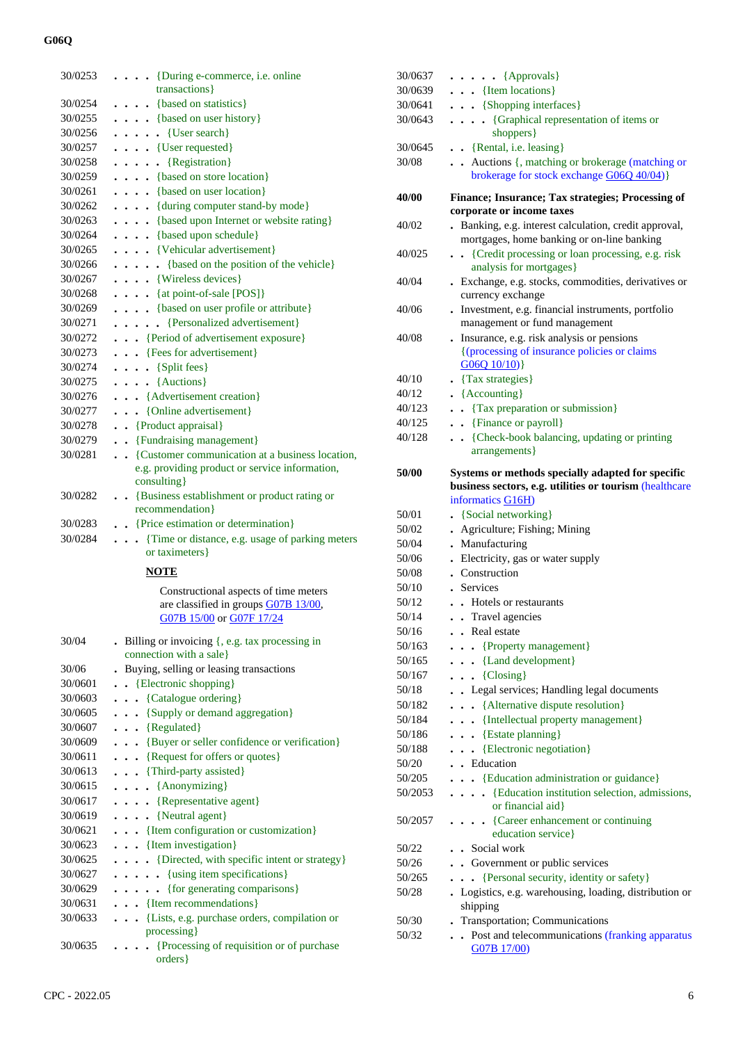| 30/0253 | {During e-commerce, i.e. online                            |
|---------|------------------------------------------------------------|
|         | transactions}                                              |
| 30/0254 | $\ldots$ {based on statistics}                             |
| 30/0255 | . {based on user history}                                  |
| 30/0256 | $\ldots$ $\{User search\}$                                 |
| 30/0257 | $\cdots$ $\cdots$ {User requested}                         |
| 30/0258 | $\cdots$ $\cdots$ {Registration}                           |
| 30/0259 | $\ldots$ {based on store location}                         |
| 30/0261 | $\ldots$ (based on user location)                          |
| 30/0262 | . {during computer stand-by mode}                          |
| 30/0263 | . {based upon Internet or website rating}                  |
| 30/0264 | $\ldots$ {based upon schedule}                             |
| 30/0265 | . {Vehicular advertisement}                                |
| 30/0266 | $\ldots$ . {based on the position of the vehicle}          |
| 30/0267 | [Wireless devices]                                         |
| 30/0268 | $\ldots$ {at point-of-sale [POS]}                          |
| 30/0269 | . {based on user profile or attribute}                     |
| 30/0271 | . {Personalized advertisement}                             |
| 30/0272 | . {Period of advertisement exposure}                       |
| 30/0273 | . {Fees for advertisement}                                 |
| 30/0274 | $\ldots$ {Split fees}                                      |
| 30/0275 | $\ldots$ {Auctions}                                        |
| 30/0276 | . {Advertisement creation}                                 |
| 30/0277 | . {Online advertisement}                                   |
| 30/0278 | . . {Product appraisal}                                    |
| 30/0279 | . . {Fundraising management}                               |
| 30/0281 | • • {Customer communication at a business location,        |
|         | e.g. providing product or service information,             |
|         | consulting }                                               |
| 30/0282 | . . {Business establishment or product rating or           |
|         | recommendation}                                            |
| 30/0283 | . Price estimation or determination}                       |
| 30/0284 | {Time or distance, e.g. usage of parking meters            |
|         | or taximeters}                                             |
|         | <b>NOTE</b>                                                |
|         | Constructional aspects of time meters                      |
|         | are classified in groups G07B 13/00,                       |
|         | G07B 15/00 or G07F 17/24                                   |
| 30/04   | . Billing or invoicing {, e.g. tax processing in           |
|         | connection with a sale}                                    |
| 30/06   | . Buying, selling or leasing transactions                  |
| 30/0601 | {Electronic shopping}                                      |
| 30/0603 | {Catalogue ordering}<br>$\ddot{\phantom{0}}$               |
| 30/0605 | {Supply or demand aggregation}<br>$\ddot{\phantom{0}}$     |
| 30/0607 | {Regulated}<br>$\ddotsc$                                   |
| 30/0609 | {Buyer or seller confidence or verification}               |
| 30/0611 | {Request for offers or quotes}<br>$\ddot{\phantom{0}}$     |
| 30/0613 | . {Third-party assisted}                                   |
| 30/0615 | $\cdots$ {Anonymizing}                                     |
| 30/0617 | {Representative agent}                                     |
| 30/0619 | . {Neutral agent}                                          |
| 30/0621 | . {Item configuration or customization}                    |
| 30/0623 | . . {Item investigation}                                   |
| 30/0625 | . {Directed, with specific intent or strategy}             |
| 30/0627 | {using item specifications}<br>$\sim$ $\sim$ $\sim$ $\sim$ |
| 30/0629 | {for generating comparisons}                               |
| 30/0631 | . {Item recommendations}                                   |
| 30/0633 | {Lists, e.g. purchase orders, compilation or               |
|         |                                                            |
|         |                                                            |
| 30/0635 | processing}<br>{Processing of requisition or of purchase}  |

| 30/0637         | $\ldots$ (Approvals)                                                                                                              |
|-----------------|-----------------------------------------------------------------------------------------------------------------------------------|
| 30/0639         | $\ldots$ {Item locations}                                                                                                         |
| 30/0641         | $\ldots$ {Shopping interfaces}                                                                                                    |
| 30/0643         | {Graphical representation of items or<br>.<br>shoppers }                                                                          |
| 30/0645         | . . {Rental, i.e. leasing}                                                                                                        |
| 30/08           | Auctions {, matching or brokerage (matching or<br>brokerage for stock exchange G06Q 40/04)}                                       |
| 40/00           | Finance; Insurance; Tax strategies; Processing of<br>corporate or income taxes                                                    |
| 40/02           | Banking, e.g. interest calculation, credit approval,                                                                              |
| 40/025          | mortgages, home banking or on-line banking<br>• {Credit processing or loan processing, e.g. risk                                  |
|                 | analysis for mortgages}                                                                                                           |
| 40/04           | . Exchange, e.g. stocks, commodities, derivatives or<br>currency exchange                                                         |
| 40/06           | . Investment, e.g. financial instruments, portfolio<br>management or fund management                                              |
| 40/08           | Insurance, e.g. risk analysis or pensions<br>{(processing of insurance policies or claims)<br>G06Q 10/10)                         |
| 40/10           | • {Tax strategies}                                                                                                                |
| 40/12           | • {Accounting}                                                                                                                    |
| 40/123          | • {Tax preparation or submission}                                                                                                 |
| 40/125          | . . {Finance or payroll}                                                                                                          |
| 40/128          | • {Check-book balancing, updating or printing                                                                                     |
|                 | arrangements }                                                                                                                    |
| 50/00           | Systems or methods specially adapted for specific<br>business sectors, e.g. utilities or tourism (healthcare<br>informatics G16H) |
| 50/01           | {Social networking}                                                                                                               |
| 50/02           | • Agriculture; Fishing; Mining                                                                                                    |
| 50/04           | . Manufacturing                                                                                                                   |
| 50/06           | • Electricity, gas or water supply                                                                                                |
| 50/08           | . Construction                                                                                                                    |
| 50/10           | . Services                                                                                                                        |
| 50/12           | . Hotels or restaurants                                                                                                           |
| 50/14           | . Travel agencies                                                                                                                 |
| 50/16           | . . Real estate                                                                                                                   |
| 50/163          | {Property management}                                                                                                             |
| 50/165          | {Land development}                                                                                                                |
| 50/167          | ${Closing}$                                                                                                                       |
| 50/18           | • Legal services; Handling legal documents                                                                                        |
| 50/182          | {Alternative dispute resolution}                                                                                                  |
| 50/184          | {Intellectual property management}<br>$\ddot{\phantom{0}}$                                                                        |
| 50/186          | $\bullet \bullet \{ \text{Estate planning} \}$                                                                                    |
| 50/188          | {Electronic negotiation}<br>$\ddot{\phantom{0}}$                                                                                  |
| 50/20<br>50/205 | . . Education                                                                                                                     |
| 50/2053         | . . {Education administration or guidance}<br>{Education institution selection, admissions,                                       |
|                 | or financial aid}                                                                                                                 |
| 50/2057         | {Career enhancement or continuing<br>education service}                                                                           |
| 50/22           | . Social work                                                                                                                     |
| 50/26           | . Government or public services                                                                                                   |
| 50/265<br>50/28 | {Personal security, identity or safety}<br>$\ddot{\phantom{0}}$                                                                   |
|                 | . Logistics, e.g. warehousing, loading, distribution or<br>shipping                                                               |
| 50/30<br>50/32  | Transportation; Communications<br>. Post and telecommunications (franking apparatus                                               |
|                 | G07B 17/00)                                                                                                                       |